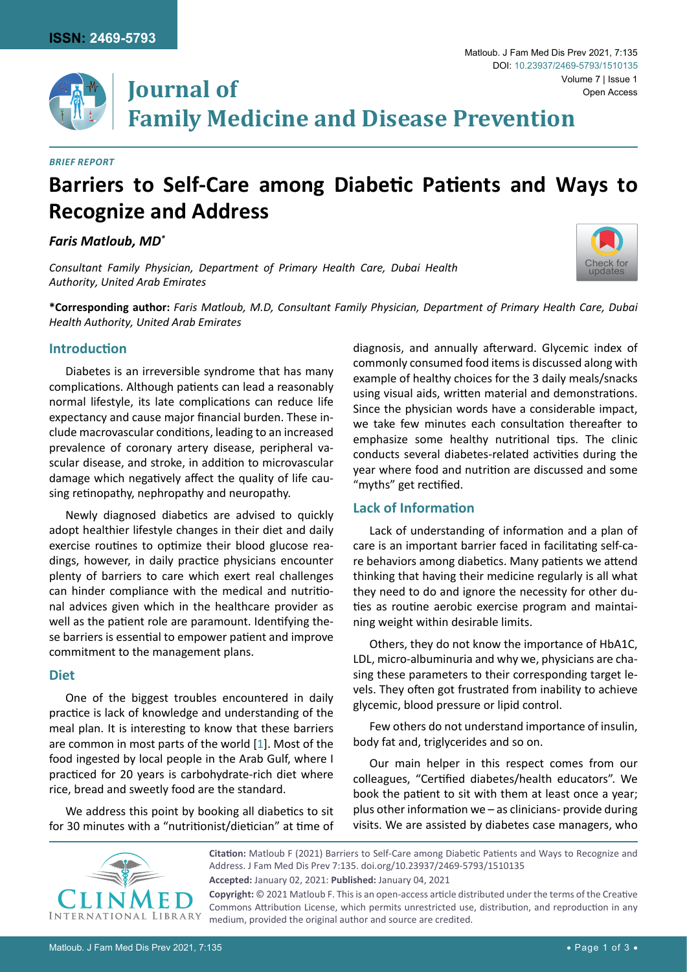

#### *Brief Report*

# **Barriers to Self-Care among Diabetic Patients and Ways to Recognize and Address**

*Faris Matloub, MD\**

*Consultant Family Physician, Department of Primary Health Care, Dubai Health Authority, United Arab Emirates*



Matloub. J Fam Med Dis Prev 2021, 7:135

**\*Corresponding author:** *Faris Matloub, M.D, Consultant Family Physician, Department of Primary Health Care, Dubai Health Authority, United Arab Emirates*

## **Introduction**

Diabetes is an irreversible syndrome that has many complications. Although patients can lead a reasonably normal lifestyle, its late complications can reduce life expectancy and cause major financial burden. These include macrovascular conditions, leading to an increased prevalence of coronary artery disease, peripheral vascular disease, and stroke, in addition to microvascular damage which negatively affect the quality of life causing retinopathy, nephropathy and neuropathy.

Newly diagnosed diabetics are advised to quickly adopt healthier lifestyle changes in their diet and daily exercise routines to optimize their blood glucose readings, however, in daily practice physicians encounter plenty of barriers to care which exert real challenges can hinder compliance with the medical and nutritional advices given which in the healthcare provider as well as the patient role are paramount. Identifying these barriers is essential to empower patient and improve commitment to the management plans.

## **Diet**

One of the biggest troubles encountered in daily practice is lack of knowledge and understanding of the meal plan. It is interesting to know that these barriers are common in most parts of the world [[1](#page-2-0)]. Most of the food ingested by local people in the Arab Gulf, where I practiced for 20 years is carbohydrate-rich diet where rice, bread and sweetly food are the standard.

We address this point by booking all diabetics to sit for 30 minutes with a "nutritionist/dietician" at time of diagnosis, and annually afterward. Glycemic index of commonly consumed food items is discussed along with example of healthy choices for the 3 daily meals/snacks using visual aids, written material and demonstrations. Since the physician words have a considerable impact, we take few minutes each consultation thereafter to emphasize some healthy nutritional tips. The clinic conducts several diabetes-related activities during the year where food and nutrition are discussed and some "myths" get rectified.

#### **Lack of Information**

Lack of understanding of information and a plan of care is an important barrier faced in facilitating self-care behaviors among diabetics. Many patients we attend thinking that having their medicine regularly is all what they need to do and ignore the necessity for other duties as routine aerobic exercise program and maintaining weight within desirable limits.

Others, they do not know the importance of HbA1C, LDL, micro-albuminuria and why we, physicians are chasing these parameters to their corresponding target levels. They often got frustrated from inability to achieve glycemic, blood pressure or lipid control.

Few others do not understand importance of insulin, body fat and, triglycerides and so on.

Our main helper in this respect comes from our colleagues, "Certified diabetes/health educators". We book the patient to sit with them at least once a year; plus other information we – as clinicians- provide during visits. We are assisted by diabetes case managers, who



**Citation:** Matloub F (2021) Barriers to Self-Care among Diabetic Patients and Ways to Recognize and Address. J Fam Med Dis Prev 7:135. [doi.org/10.23937/2469-5793/1510135](https://doi.org/10.23937/2469-5793/1510135) **Accepted:** January 02, 2021: **Published:** January 04, 2021 **Copyright:** © 2021 Matloub F. This is an open-access article distributed under the terms of the Creative

Commons Attribution License, which permits unrestricted use, distribution, and reproduction in any medium, provided the original author and source are credited.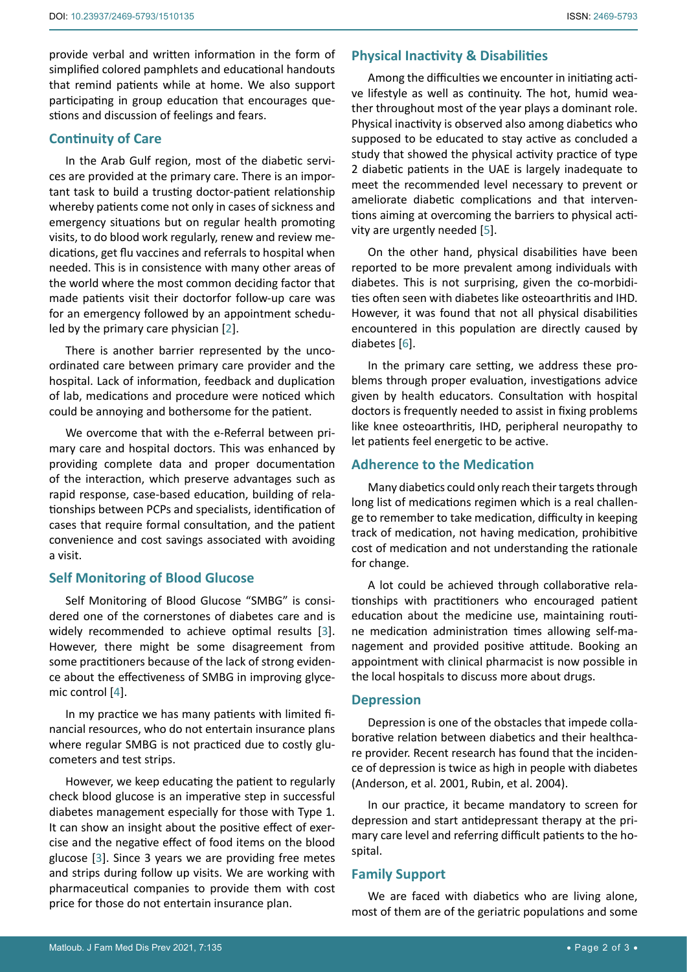provide verbal and written information in the form of simplified colored pamphlets and educational handouts that remind patients while at home. We also support participating in group education that encourages questions and discussion of feelings and fears.

# **Continuity of Care**

In the Arab Gulf region, most of the diabetic services are provided at the primary care. There is an important task to build a trusting doctor-patient relationship whereby patients come not only in cases of sickness and emergency situations but on regular health promoting visits, to do blood work regularly, renew and review medications, get flu vaccines and referrals to hospital when needed. This is in consistence with many other areas of the world where the most common deciding factor that made patients visit their doctorfor follow-up care was for an emergency followed by an appointment scheduled by the primary care physician [[2](#page-2-1)].

There is another barrier represented by the uncoordinated care between primary care provider and the hospital. Lack of information, feedback and duplication of lab, medications and procedure were noticed which could be annoying and bothersome for the patient.

We overcome that with the e-Referral between primary care and hospital doctors. This was enhanced by providing complete data and proper documentation of the interaction, which preserve advantages such as rapid response, case-based education, building of relationships between PCPs and specialists, identification of cases that require formal consultation, and the patient convenience and cost savings associated with avoiding a visit.

# **Self Monitoring of Blood Glucose**

Self Monitoring of Blood Glucose "SMBG" is considered one of the cornerstones of diabetes care and is widely recommended to achieve optimal results [[3](#page-2-2)]. However, there might be some disagreement from some practitioners because of the lack of strong evidence about the effectiveness of SMBG in improving glycemic control [[4](#page-2-3)].

In my practice we has many patients with limited financial resources, who do not entertain insurance plans where regular SMBG is not practiced due to costly glucometers and test strips.

However, we keep educating the patient to regularly check blood glucose is an imperative step in successful diabetes management especially for those with Type 1. It can show an insight about the positive effect of exercise and the negative effect of food items on the blood glucose [\[3\]](#page-2-2). Since 3 years we are providing free metes and strips during follow up visits. We are working with pharmaceutical companies to provide them with cost price for those do not entertain insurance plan.

# **Physical Inactivity & Disabilities**

Among the difficulties we encounter in initiating active lifestyle as well as continuity. The hot, humid weather throughout most of the year plays a dominant role. Physical inactivity is observed also among diabetics who supposed to be educated to stay active as concluded a study that showed the physical activity practice of type 2 diabetic patients in the UAE is largely inadequate to meet the recommended level necessary to prevent or ameliorate diabetic complications and that interventions aiming at overcoming the barriers to physical activity are urgently needed [\[5\]](#page-2-4).

On the other hand, physical disabilities have been reported to be more prevalent among individuals with diabetes. This is not surprising, given the co-morbidities often seen with diabetes like osteoarthritis and IHD. However, it was found that not all physical disabilities encountered in this population are directly caused by diabetes [[6](#page-2-5)].

In the primary care setting, we address these problems through proper evaluation, investigations advice given by health educators. Consultation with hospital doctors is frequently needed to assist in fixing problems like knee osteoarthritis, IHD, peripheral neuropathy to let patients feel energetic to be active.

# **Adherence to the Medication**

Many diabetics could only reach their targets through long list of medications regimen which is a real challenge to remember to take medication, difficulty in keeping track of medication, not having medication, prohibitive cost of medication and not understanding the rationale for change.

A lot could be achieved through collaborative relationships with practitioners who encouraged patient education about the medicine use, maintaining routine medication administration times allowing self-management and provided positive attitude. Booking an appointment with clinical pharmacist is now possible in the local hospitals to discuss more about drugs.

# **Depression**

Depression is one of the obstacles that impede collaborative relation between diabetics and their healthcare provider. Recent research has found that the incidence of depression is twice as high in people with diabetes (Anderson, et al. 2001, Rubin, et al. 2004).

In our practice, it became mandatory to screen for depression and start antidepressant therapy at the primary care level and referring difficult patients to the hospital.

# **Family Support**

We are faced with diabetics who are living alone, most of them are of the geriatric populations and some